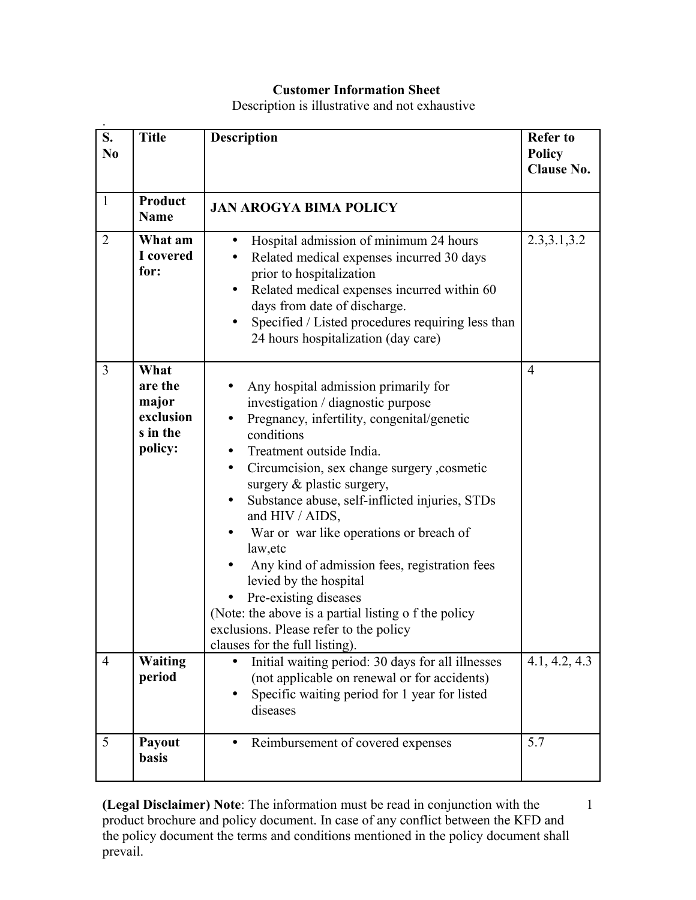## **Customer Information Sheet**

Description is illustrative and not exhaustive

| S.<br>N <sub>0</sub> | <b>Title</b>                                                 | <b>Description</b>                                                                                                                                                                                                                                                                                                                                                                                                                                                                                                                                                                                                                            | <b>Refer to</b><br><b>Policy</b><br><b>Clause No.</b> |
|----------------------|--------------------------------------------------------------|-----------------------------------------------------------------------------------------------------------------------------------------------------------------------------------------------------------------------------------------------------------------------------------------------------------------------------------------------------------------------------------------------------------------------------------------------------------------------------------------------------------------------------------------------------------------------------------------------------------------------------------------------|-------------------------------------------------------|
| $\mathbf{1}$         | <b>Product</b><br><b>Name</b>                                | <b>JAN AROGYA BIMA POLICY</b>                                                                                                                                                                                                                                                                                                                                                                                                                                                                                                                                                                                                                 |                                                       |
| $\overline{2}$       | What am<br>I covered<br>for:                                 | Hospital admission of minimum 24 hours<br>$\bullet$<br>Related medical expenses incurred 30 days<br>prior to hospitalization<br>Related medical expenses incurred within 60<br>days from date of discharge.<br>Specified / Listed procedures requiring less than<br>24 hours hospitalization (day care)                                                                                                                                                                                                                                                                                                                                       | 2.3, 3.1, 3.2                                         |
| $\overline{3}$       | What<br>are the<br>major<br>exclusion<br>s in the<br>policy: | Any hospital admission primarily for<br>investigation / diagnostic purpose<br>Pregnancy, infertility, congenital/genetic<br>conditions<br>Treatment outside India.<br>Circumcision, sex change surgery , cosmetic<br>$\bullet$<br>surgery & plastic surgery,<br>Substance abuse, self-inflicted injuries, STDs<br>$\bullet$<br>and HIV / AIDS,<br>War or war like operations or breach of<br>law, etc<br>Any kind of admission fees, registration fees<br>levied by the hospital<br>Pre-existing diseases<br>(Note: the above is a partial listing o f the policy<br>exclusions. Please refer to the policy<br>clauses for the full listing). | $\overline{4}$                                        |
| $\overline{4}$       | <b>Waiting</b><br>period                                     | Initial waiting period: 30 days for all illnesses<br>(not applicable on renewal or for accidents)<br>Specific waiting period for 1 year for listed<br>diseases                                                                                                                                                                                                                                                                                                                                                                                                                                                                                | 4.1, 4.2, 4.3                                         |
| 5                    | Payout<br><b>basis</b>                                       | Reimbursement of covered expenses                                                                                                                                                                                                                                                                                                                                                                                                                                                                                                                                                                                                             | 5.7                                                   |

**(Legal Disclaimer) Note**: The information must be read in conjunction with the product brochure and policy document. In case of any conflict between the KFD and the policy document the terms and conditions mentioned in the policy document shall prevail.

1